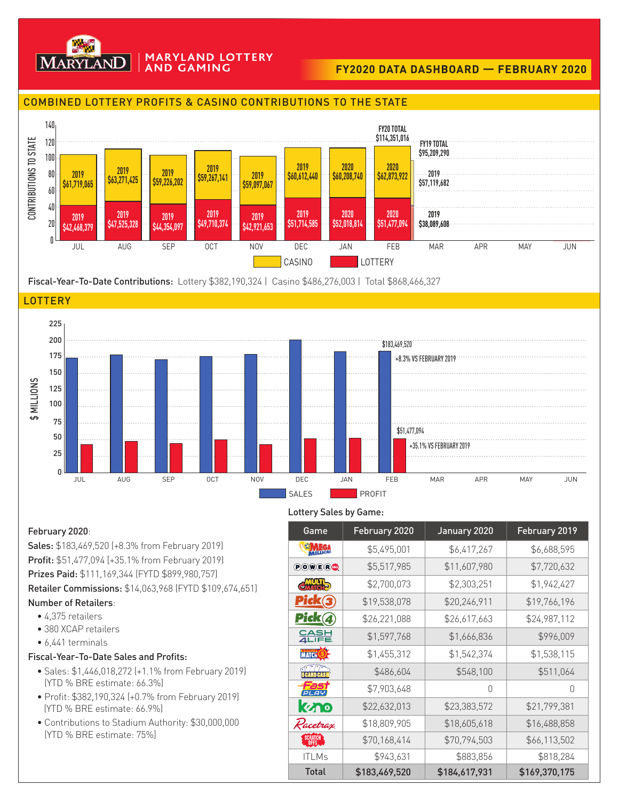

#### **MARYLAND LOTTERY AND GAMING**

# **FY2020 DATA DASHBOARD — FEBRUARY 2020**

## COMBINED LOTTERY PROFITS & CASINO CONTRIBUTIONS TO THE STATE



Fiscal-Year-To-Date Contributions: Lottery \$382,190,324 | Casino \$486,276,003 | Total \$868,466,327





#### Lottery Sales by Game:

February 2020: Sales: \$183,469,520 (+8.3% from February 2019) Profit: \$51,477,094 [+35.1% from February 2019) Prizes Paid: \$111,169,344 (FYTD \$899,980,757) Retailer Commissions: \$14,063,968 (FYTD \$109,674,651) Number of Retailers:

- 4,375 retailers
- 380 XCAP retailers
- 6,441 terminals

### Fiscal-Year-To-Date Sales and Profits:

- Sales: \$1,446,018,272 (+1.1% from February 2019) (YTD % BRE estimate: 66.3%)
- Profit: \$382,190,324 (+0.7% from February 2019) (YTD % BRE estimate: 66.9%)
- Contributions to Stadium Authority: \$30,000,000 (YTD % BRE estimate: 75%]

| Game                 | February 2020 | January 2020  | February 2019 |
|----------------------|---------------|---------------|---------------|
| MEGA                 | \$5,495,001   | \$6,417,267   | \$6,688,595   |
| <b>POWER</b>         | \$5,517,985   | \$11,607,980  | \$7,720,632   |
| <b>CHATCH</b>        | \$2,700,073   | \$2,303,251   | \$1,942,427   |
| <u>Pick③</u>         | \$19,538,078  | \$20,246,911  | \$19,766,196  |
| Pick 4               | \$26,221,088  | \$26,617,663  | \$24,987,112  |
| 유음부                  | \$1,597,768   | \$1,666,836   | \$996,009     |
| MATCH <sup>(5)</sup> | \$1,455,312   | \$1,542,374   | \$1,538,115   |
|                      | \$486,604     | \$548,100     | \$511,064     |
| pLAY                 | \$7,903,648   | O             | O             |
| kyno                 | \$22,632,013  | \$23,383,572  | \$21,799,381  |
| Racetrax             | \$18,809,905  | \$18,605,618  | \$16,488,858  |
| SCRATCH<br>OFFS      | \$70,168,414  | \$70,794,503  | \$66,113,502  |
| <b>ITLMs</b>         | \$943,631     | \$883,856     | \$818,284     |
| <b>Total</b>         | \$183,469,520 | \$184,617,931 | \$169,370,175 |